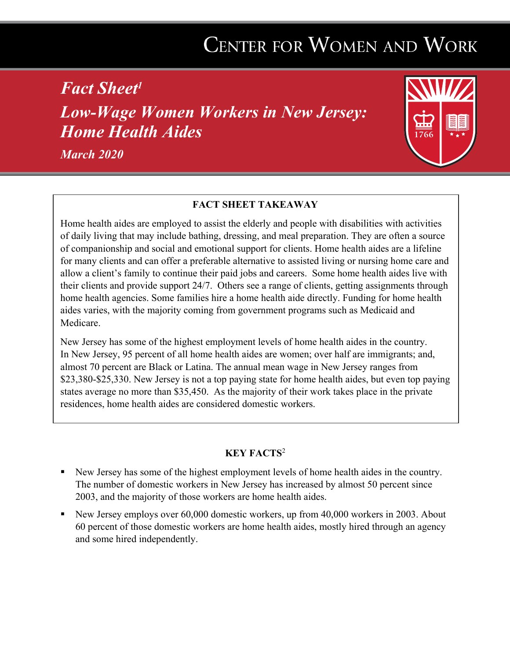## CENTER FOR WOMEN AND WORK

*Fact Sheet1 Low-Wage Women Workers in New Jersey: Home Health Aides*





## **FACT SHEET TAKEAWAY**

Home health aides are employed to assist the elderly and people with disabilities with activities of daily living that may include bathing, dressing, and meal preparation. They are often a source of companionship and social and emotional support for clients. Home health aides are a lifeline for many clients and can offer a preferable alternative to assisted living or nursing home care and allow a client's family to continue their paid jobs and careers. Some home health aides live with their clients and provide support 24/7. Others see a range of clients, getting assignments through home health agencies. Some families hire a home health aide directly. Funding for home health aides varies, with the majority coming from government programs such as Medicaid and Medicare.

New Jersey has some of the highest employment levels of home health aides in the country. In New Jersey, 95 percent of all home health aides are women; over half are immigrants; and, almost 70 percent are Black or Latina. The annual mean wage in New Jersey ranges from \$23,380-\$25,330. New Jersey is not a top paying state for home health aides, but even top paying states average no more than \$35,450. As the majority of their work takes place in the private residences, home health aides are considered domestic workers.

## **KEY FACTS**<sup>2</sup>

- New Jersey has some of the highest employment levels of home health aides in the country. The number of domestic workers in New Jersey has increased by almost 50 percent since 2003, and the majority of those workers are home health aides.
- § New Jersey employs over 60,000 domestic workers, up from 40,000 workers in 2003. About 60 percent of those domestic workers are home health aides, mostly hired through an agency and some hired independently.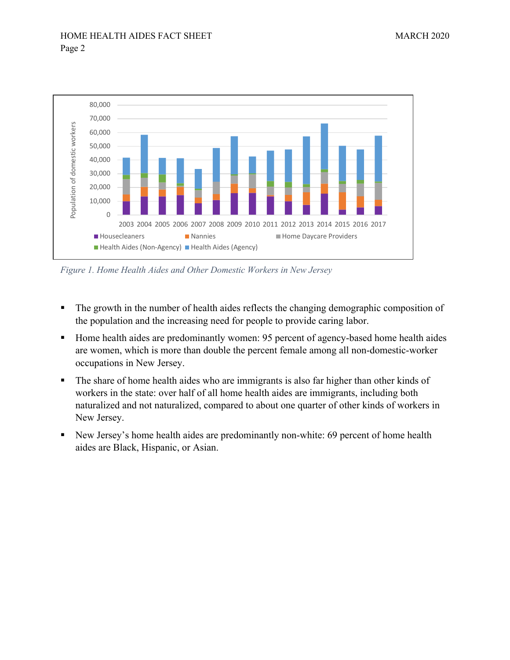

*Figure 1. Home Health Aides and Other Domestic Workers in New Jersey*

- The growth in the number of health aides reflects the changing demographic composition of the population and the increasing need for people to provide caring labor.
- Home health aides are predominantly women: 95 percent of agency-based home health aides are women, which is more than double the percent female among all non-domestic-worker occupations in New Jersey.
- The share of home health aides who are immigrants is also far higher than other kinds of workers in the state: over half of all home health aides are immigrants, including both naturalized and not naturalized, compared to about one quarter of other kinds of workers in New Jersey.
- New Jersey's home health aides are predominantly non-white: 69 percent of home health aides are Black, Hispanic, or Asian.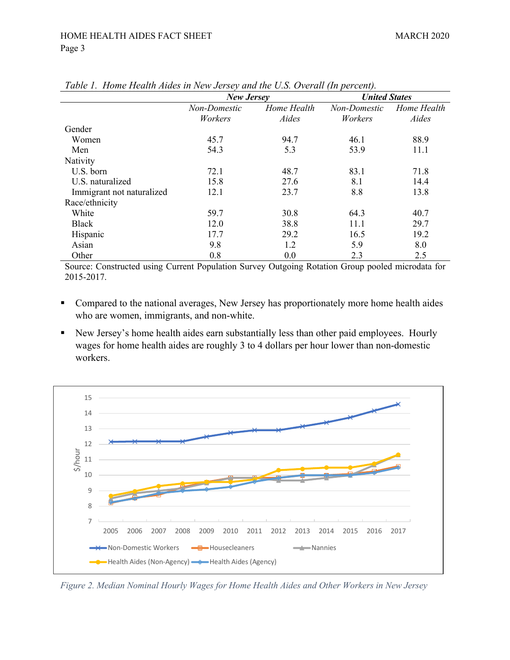|                           | <b>New Jersey</b> |             | <b>United States</b> |             |
|---------------------------|-------------------|-------------|----------------------|-------------|
|                           | Non-Domestic      | Home Health | Non-Domestic         | Home Health |
|                           | Workers           | Aides       | Workers              | Aides       |
| Gender                    |                   |             |                      |             |
| Women                     | 45.7              | 94.7        | 46.1                 | 88.9        |
| Men                       | 54.3              | 5.3         | 53.9                 | 11.1        |
| Nativity                  |                   |             |                      |             |
| U.S. born                 | 72.1              | 48.7        | 83.1                 | 71.8        |
| U.S. naturalized          | 15.8              | 27.6        | 8.1                  | 14.4        |
| Immigrant not naturalized | 12.1              | 23.7        | 8.8                  | 13.8        |
| Race/ethnicity            |                   |             |                      |             |
| White                     | 59.7              | 30.8        | 64.3                 | 40.7        |
| <b>Black</b>              | 12.0              | 38.8        | 11.1                 | 29.7        |
| Hispanic                  | 17.7              | 29.2        | 16.5                 | 19.2        |
| Asian                     | 9.8               | 1.2         | 5.9                  | 8.0         |
| Other                     | 0.8               | 0.0         | 2.3                  | 2.5         |

*Table 1. Home Health Aides in New Jersey and the U.S. Overall (In percent).*

Source: Constructed using Current Population Survey Outgoing Rotation Group pooled microdata for 2015-2017.

- Compared to the national averages, New Jersey has proportionately more home health aides who are women, immigrants, and non-white.
- New Jersey's home health aides earn substantially less than other paid employees. Hourly wages for home health aides are roughly 3 to 4 dollars per hour lower than non-domestic workers.



*Figure 2. Median Nominal Hourly Wages for Home Health Aides and Other Workers in New Jersey*